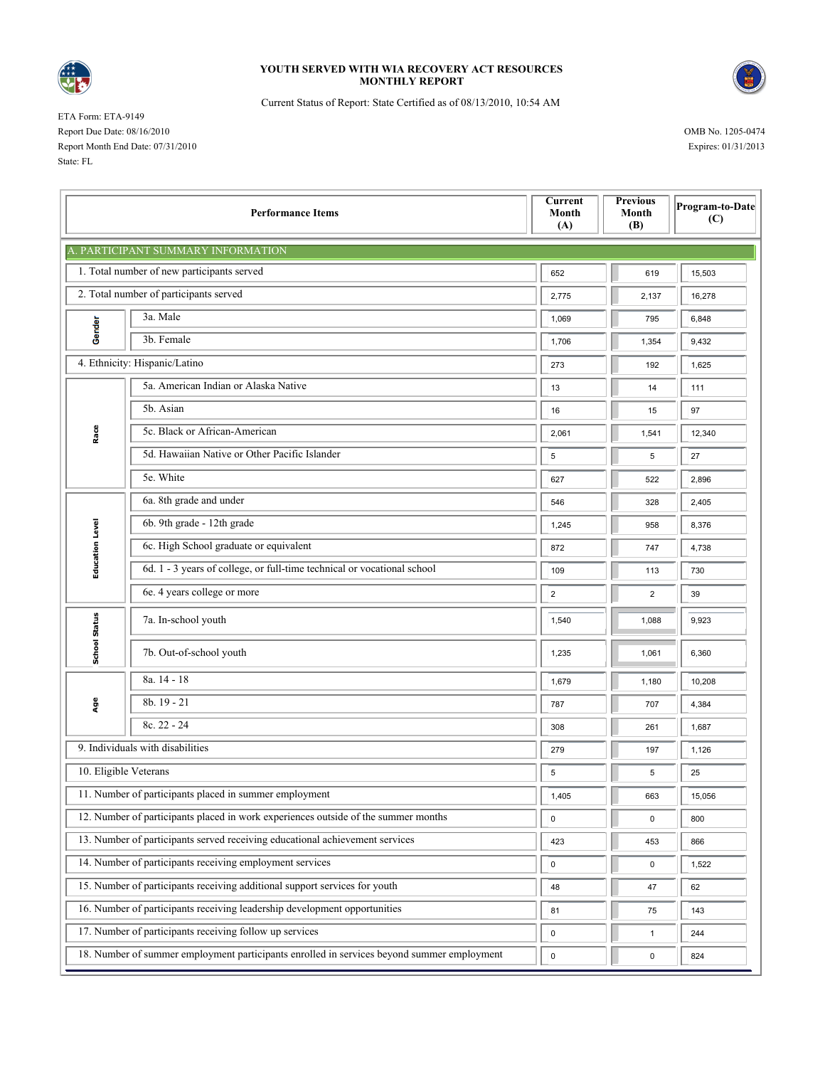

## **YOUTH SERVED WITH WIA RECOVERY ACT RESOURCES MONTHLY REPORT**



Current Status of Report: State Certified as of 08/13/2010, 10:54 AM

ETA Form: ETA-9149 Report Due Date: 08/16/2010 OMB No. 1205-0474 Report Month End Date: 07/31/2010 Expires: 01/31/2013 State: FL

| <b>Performance Items</b>                                                           |                                                                                            |                | <b>Previous</b><br>Month<br>(B) | Program-to-Date<br>(C) |  |  |  |  |  |  |
|------------------------------------------------------------------------------------|--------------------------------------------------------------------------------------------|----------------|---------------------------------|------------------------|--|--|--|--|--|--|
| . PARTICIPANT SUMMARY INFORMATION                                                  |                                                                                            |                |                                 |                        |  |  |  |  |  |  |
|                                                                                    | 1. Total number of new participants served                                                 | 652            | 619                             | 15,503                 |  |  |  |  |  |  |
|                                                                                    | 2. Total number of participants served                                                     | 2,775          | 2,137                           | 16,278                 |  |  |  |  |  |  |
| Gender                                                                             | 3a. Male                                                                                   | 1,069          | 795                             | 6,848                  |  |  |  |  |  |  |
|                                                                                    | 3b. Female                                                                                 | 1,706          | 1,354                           | 9,432                  |  |  |  |  |  |  |
| 4. Ethnicity: Hispanic/Latino                                                      |                                                                                            | 273            | 192                             | 1,625                  |  |  |  |  |  |  |
| Race                                                                               | 5a. American Indian or Alaska Native                                                       | 13             | 14                              | 111                    |  |  |  |  |  |  |
|                                                                                    | 5b. Asian                                                                                  | 16             | 15                              | 97                     |  |  |  |  |  |  |
|                                                                                    | 5c. Black or African-American                                                              | 2,061          | 1,541                           | 12,340                 |  |  |  |  |  |  |
|                                                                                    | 5d. Hawaiian Native or Other Pacific Islander                                              | 5              | 5                               | 27                     |  |  |  |  |  |  |
|                                                                                    | 5e. White                                                                                  | 627            | 522                             | 2,896                  |  |  |  |  |  |  |
| <b>Education Level</b>                                                             | 6a. 8th grade and under                                                                    | 546            | 328                             | 2,405                  |  |  |  |  |  |  |
|                                                                                    | 6b. 9th grade - 12th grade                                                                 | 1,245          | 958                             | 8,376                  |  |  |  |  |  |  |
|                                                                                    | 6c. High School graduate or equivalent                                                     | 872            | 747                             | 4,738                  |  |  |  |  |  |  |
|                                                                                    | 6d. 1 - 3 years of college, or full-time technical or vocational school                    | 109            | 113                             | 730                    |  |  |  |  |  |  |
|                                                                                    | 6e. 4 years college or more                                                                | $\overline{2}$ | $\overline{2}$                  | 39                     |  |  |  |  |  |  |
| <b>School Status</b>                                                               | 7a. In-school youth                                                                        | 1,540          | 1,088                           | 9,923                  |  |  |  |  |  |  |
|                                                                                    | 7b. Out-of-school youth                                                                    | 1,235          | 1,061                           | 6,360                  |  |  |  |  |  |  |
| Age                                                                                | 8a. 14 - 18                                                                                | 1,679          | 1,180                           | 10,208                 |  |  |  |  |  |  |
|                                                                                    | 8b. 19 - 21                                                                                | 787            | 707                             | 4,384                  |  |  |  |  |  |  |
|                                                                                    | 8c. 22 - 24                                                                                | 308            | 261                             | 1,687                  |  |  |  |  |  |  |
| 9. Individuals with disabilities                                                   |                                                                                            |                | 197                             | 1,126                  |  |  |  |  |  |  |
| 10. Eligible Veterans                                                              |                                                                                            |                | 5                               | 25                     |  |  |  |  |  |  |
| 11. Number of participants placed in summer employment                             |                                                                                            | 1,405          | 663                             | 15,056                 |  |  |  |  |  |  |
| 12. Number of participants placed in work experiences outside of the summer months |                                                                                            |                | 0                               | 800                    |  |  |  |  |  |  |
| 13. Number of participants served receiving educational achievement services       |                                                                                            |                | 453                             | 866                    |  |  |  |  |  |  |
| 14. Number of participants receiving employment services                           |                                                                                            |                | $\mathbf 0$                     | 1,522                  |  |  |  |  |  |  |
| 15. Number of participants receiving additional support services for youth         |                                                                                            |                | 47                              | 62                     |  |  |  |  |  |  |
| 16. Number of participants receiving leadership development opportunities          |                                                                                            |                | 75                              | 143                    |  |  |  |  |  |  |
|                                                                                    | 17. Number of participants receiving follow up services                                    | $\pmb{0}$      | $\mathbf{1}$                    | 244                    |  |  |  |  |  |  |
|                                                                                    | 18. Number of summer employment participants enrolled in services beyond summer employment | $\pmb{0}$      | 0                               | 824                    |  |  |  |  |  |  |